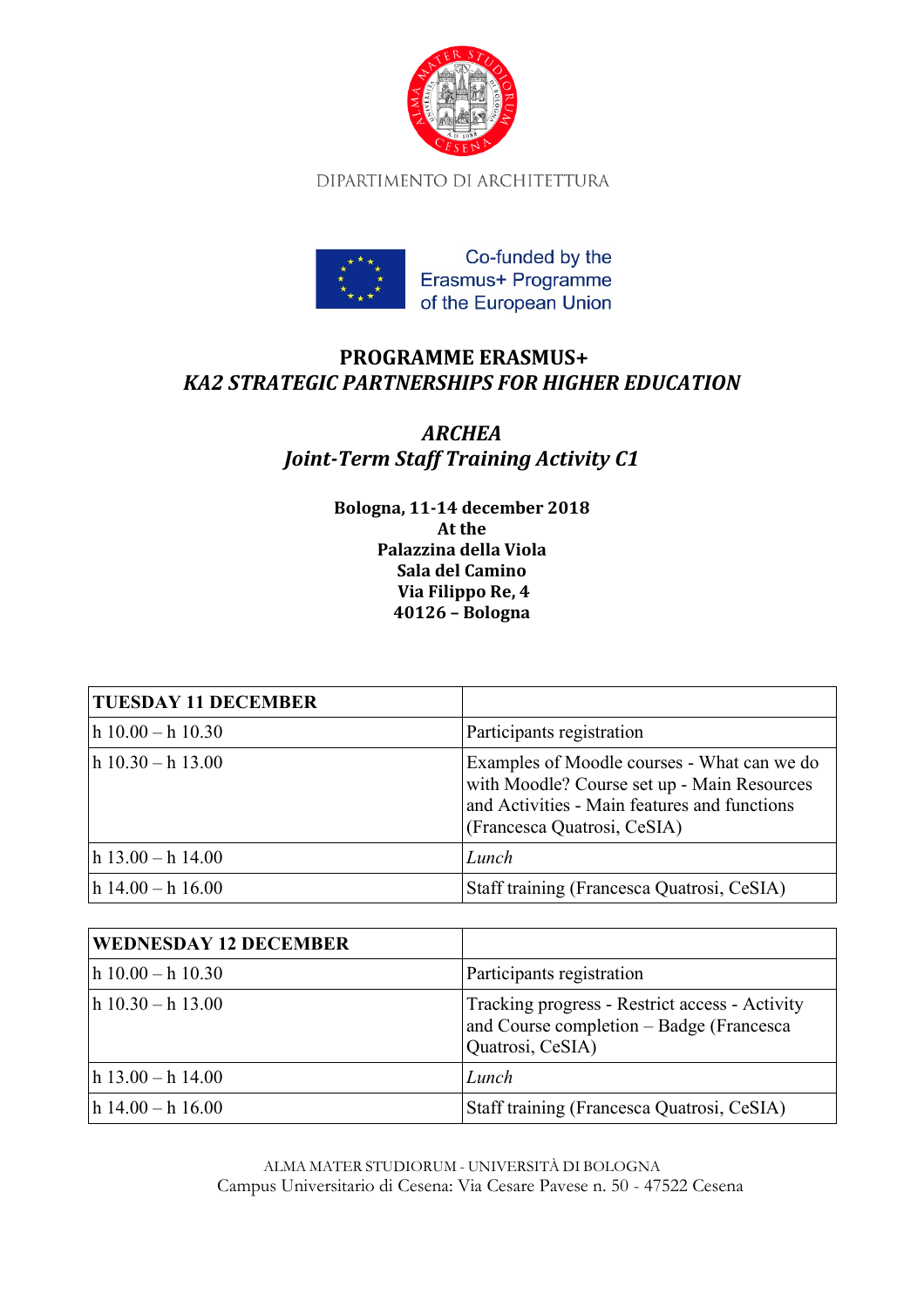

DIPARTIMENTO DI ARCHITETTURA



## **PROGRAMME ERASMUS+**  *KA2 STRATEGIC PARTNERSHIPS FOR HIGHER EDUCATION*

## *ARCHEA Joint-Term Staff Training Activity C1*

**Bologna, 11-14 december 2018 At the Palazzina della Viola Sala del Camino Via Filippo Re, 4 40126 – Bologna** 

| <b>TUESDAY 11 DECEMBER</b> |                                                                                                                                                                           |
|----------------------------|---------------------------------------------------------------------------------------------------------------------------------------------------------------------------|
| $h$ 10.00 - h 10.30        | Participants registration                                                                                                                                                 |
| $h$ 10.30 - h 13.00        | Examples of Moodle courses - What can we do<br>with Moodle? Course set up - Main Resources<br>and Activities - Main features and functions<br>(Francesca Quatrosi, CeSIA) |
| $h$ 13.00 - h 14.00        | Lunch                                                                                                                                                                     |
| $h$ 14.00 – h 16.00        | Staff training (Francesca Quatrosi, CeSIA)                                                                                                                                |

| <b>WEDNESDAY 12 DECEMBER</b> |                                                                                                                |
|------------------------------|----------------------------------------------------------------------------------------------------------------|
| $h$ 10.00 - h 10.30          | Participants registration                                                                                      |
| $\ln 10.30 - h$ 13.00        | Tracking progress - Restrict access - Activity<br>and Course completion – Badge (Francesca<br>Quatrosi, CeSIA) |
| $h$ 13.00 - h 14.00          | Lunch                                                                                                          |
| $h$ 14.00 – h 16.00          | Staff training (Francesca Quatrosi, CeSIA)                                                                     |

ALMA MATER STUDIORUM - UNIVERSITÀ DI BOLOGNA Campus Universitario di Cesena: Via Cesare Pavese n. 50 - 47522 Cesena